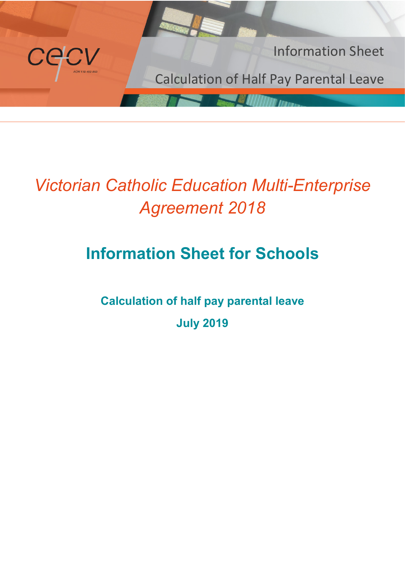

# *Victorian Catholic Education Multi-Enterprise Agreement 2018*

# **Information Sheet for Schools**

**Calculation of half pay parental leave July 2019**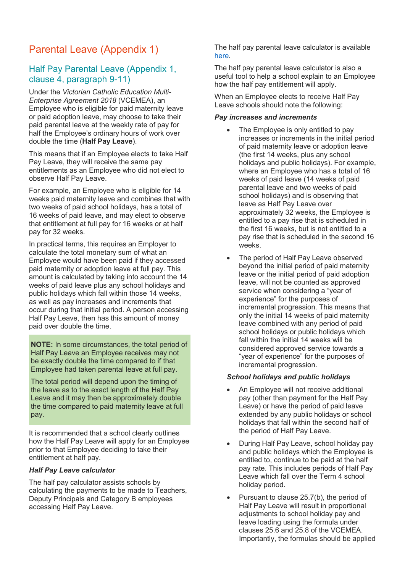### Parental Leave (Appendix 1)

#### Half Pay Parental Leave (Appendix 1, clause 4, paragraph 9-11)

Under the *Victorian Catholic Education Multi-Enterprise Agreement 2018* (VCEMEA), an Employee who is eligible for paid maternity leave or paid adoption leave, may choose to take their paid parental leave at the weekly rate of pay for half the Employee's ordinary hours of work over double the time (**Half Pay Leave**).

This means that if an Employee elects to take Half Pay Leave, they will receive the same pay entitlements as an Employee who did not elect to observe Half Pay Leave.

For example, an Employee who is eligible for 14 weeks paid maternity leave and combines that with two weeks of paid school holidays, has a total of 16 weeks of paid leave, and may elect to observe that entitlement at full pay for 16 weeks or at half pay for 32 weeks.

In practical terms, this requires an Employer to calculate the total monetary sum of what an Employee would have been paid if they accessed paid maternity or adoption leave at full pay. This amount is calculated by taking into account the 14 weeks of paid leave plus any school holidays and public holidays which fall within those 14 weeks, as well as pay increases and increments that occur during that initial period. A person accessing Half Pay Leave, then has this amount of money paid over double the time.

**NOTE:** In some circumstances, the total period of Half Pay Leave an Employee receives may not be exactly double the time compared to if that Employee had taken parental leave at full pay.

The total period will depend upon the timing of the leave as to the exact length of the Half Pay Leave and it may then be approximately double the time compared to paid maternity leave at full pay.

It is recommended that a school clearly outlines how the Half Pay Leave will apply for an Employee prior to that Employee deciding to take their entitlement at half pay.

#### *Half Pay Leave calculator*

The half pay calculator assists schools by calculating the payments to be made to Teachers, Deputy Principals and Category B employees accessing Half Pay Leave.

The half pay parental leave calculator is available [here.](http://cevn.cecv.catholic.edu.au/FinanceLegal.aspx?id=17524)

The half pay parental leave calculator is also a useful tool to help a school explain to an Employee how the half pay entitlement will apply.

When an Employee elects to receive Half Pay Leave schools should note the following:

#### *Pay increases and increments*

- The Employee is only entitled to pay increases or increments in the initial period of paid maternity leave or adoption leave (the first 14 weeks, plus any school holidays and public holidays). For example, where an Employee who has a total of 16 weeks of paid leave (14 weeks of paid parental leave and two weeks of paid school holidays) and is observing that leave as Half Pay Leave over approximately 32 weeks, the Employee is entitled to a pay rise that is scheduled in the first 16 weeks, but is not entitled to a pay rise that is scheduled in the second 16 weeks.
- The period of Half Pay Leave observed beyond the initial period of paid maternity leave or the initial period of paid adoption leave, will not be counted as approved service when considering a "year of experience" for the purposes of incremental progression. This means that only the initial 14 weeks of paid maternity leave combined with any period of paid school holidays or public holidays which fall within the initial 14 weeks will be considered approved service towards a "year of experience" for the purposes of incremental progression.

#### *School holidays and public holidays*

- An Employee will not receive additional pay (other than payment for the Half Pay Leave) or have the period of paid leave extended by any public holidays or school holidays that fall within the second half of the period of Half Pay Leave.
- During Half Pay Leave, school holiday pay and public holidays which the Employee is entitled to, continue to be paid at the half pay rate. This includes periods of Half Pay Leave which fall over the Term 4 school holiday period.
- Pursuant to clause 25.7(b), the period of Half Pay Leave will result in proportional adjustments to school holiday pay and leave loading using the formula under clauses 25.6 and 25.8 of the VCEMEA. Importantly, the formulas should be applied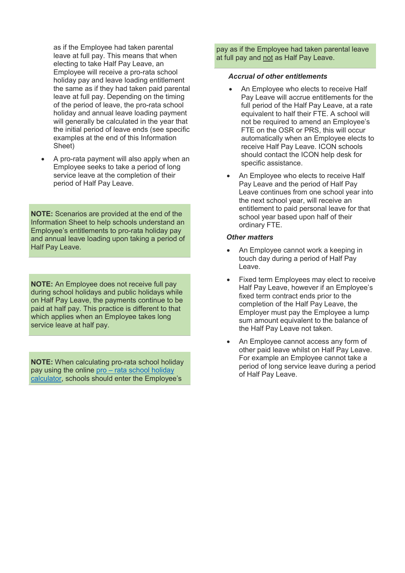as if the Employee had taken parental leave at full pay. This means that when electing to take Half Pay Leave, an Employee will receive a pro-rata school holiday pay and leave loading entitlement the same as if they had taken paid parental leave at full pay. Depending on the timing of the period of leave, the pro-rata school holiday and annual leave loading payment will generally be calculated in the year that the initial period of leave ends (see specific examples at the end of this Information Sheet)

• A pro-rata payment will also apply when an Employee seeks to take a period of long service leave at the completion of their period of Half Pay Leave.

**NOTE:** Scenarios are provided at the end of the Information Sheet to help schools understand an Employee's entitlements to pro-rata holiday pay and annual leave loading upon taking a period of Half Pay Leave.

**NOTE:** An Employee does not receive full pay during school holidays and public holidays while on Half Pay Leave, the payments continue to be paid at half pay. This practice is different to that which applies when an Employee takes long service leave at half pay.

**NOTE:** When calculating pro-rata school holiday pay using the online pro - rata school holiday [calculator,](http://cevn.cecv.catholic.edu.au/finance/holiday_leave.htm) schools should enter the Employee's

pay as if the Employee had taken parental leave at full pay and not as Half Pay Leave.

#### *Accrual of other entitlements*

- An Employee who elects to receive Half Pay Leave will accrue entitlements for the full period of the Half Pay Leave, at a rate equivalent to half their FTE. A school will not be required to amend an Employee's FTE on the OSR or PRS, this will occur automatically when an Employee elects to receive Half Pay Leave. ICON schools should contact the ICON help desk for specific assistance.
- An Employee who elects to receive Half Pay Leave and the period of Half Pay Leave continues from one school year into the next school year, will receive an entitlement to paid personal leave for that school year based upon half of their ordinary FTE.

#### *Other matters*

- An Employee cannot work a keeping in touch day during a period of Half Pay Leave.
- Fixed term Employees may elect to receive Half Pay Leave, however if an Employee's fixed term contract ends prior to the completion of the Half Pay Leave, the Employer must pay the Employee a lump sum amount equivalent to the balance of the Half Pay Leave not taken.
- An Employee cannot access any form of other paid leave whilst on Half Pay Leave. For example an Employee cannot take a period of long service leave during a period of Half Pay Leave.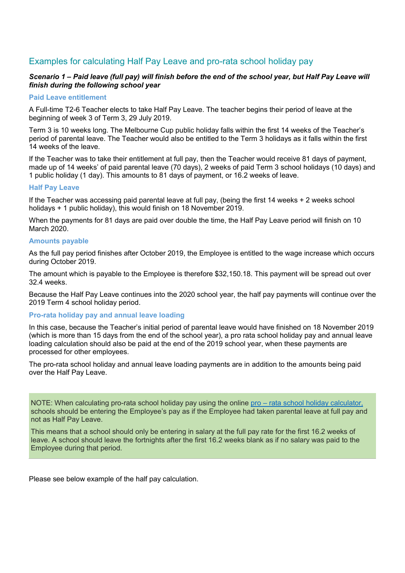#### Examples for calculating Half Pay Leave and pro-rata school holiday pay

#### *Scenario 1 – Paid leave (full pay) will finish before the end of the school year, but Half Pay Leave will finish during the following school year*

#### **Paid Leave entitlement**

A Full-time T2-6 Teacher elects to take Half Pay Leave. The teacher begins their period of leave at the beginning of week 3 of Term 3, 29 July 2019.

Term 3 is 10 weeks long. The Melbourne Cup public holiday falls within the first 14 weeks of the Teacher's period of parental leave. The Teacher would also be entitled to the Term 3 holidays as it falls within the first 14 weeks of the leave.

If the Teacher was to take their entitlement at full pay, then the Teacher would receive 81 days of payment, made up of 14 weeks' of paid parental leave (70 days), 2 weeks of paid Term 3 school holidays (10 days) and 1 public holiday (1 day). This amounts to 81 days of payment, or 16.2 weeks of leave.

#### **Half Pay Leave**

If the Teacher was accessing paid parental leave at full pay, (being the first 14 weeks + 2 weeks school holidays + 1 public holiday), this would finish on 18 November 2019.

When the payments for 81 days are paid over double the time, the Half Pay Leave period will finish on 10 March 2020.

#### **Amounts payable**

As the full pay period finishes after October 2019, the Employee is entitled to the wage increase which occurs during October 2019.

The amount which is payable to the Employee is therefore \$32,150.18. This payment will be spread out over 32.4 weeks.

Because the Half Pay Leave continues into the 2020 school year, the half pay payments will continue over the 2019 Term 4 school holiday period.

#### **Pro-rata holiday pay and annual leave loading**

In this case, because the Teacher's initial period of parental leave would have finished on 18 November 2019 (which is more than 15 days from the end of the school year), a pro rata school holiday pay and annual leave loading calculation should also be paid at the end of the 2019 school year, when these payments are processed for other employees.

The pro-rata school holiday and annual leave loading payments are in addition to the amounts being paid over the Half Pay Leave.

NOTE: When calculating pro-rata school holiday pay using the online pro – [rata school holiday calculator,](http://cevn.cecv.catholic.edu.au/finance/holiday_leave.htm) schools should be entering the Employee's pay as if the Employee had taken parental leave at full pay and not as Half Pay Leave.

This means that a school should only be entering in salary at the full pay rate for the first 16.2 weeks of leave. A school should leave the fortnights after the first 16.2 weeks blank as if no salary was paid to the Employee during that period.

Please see below example of the half pay calculation.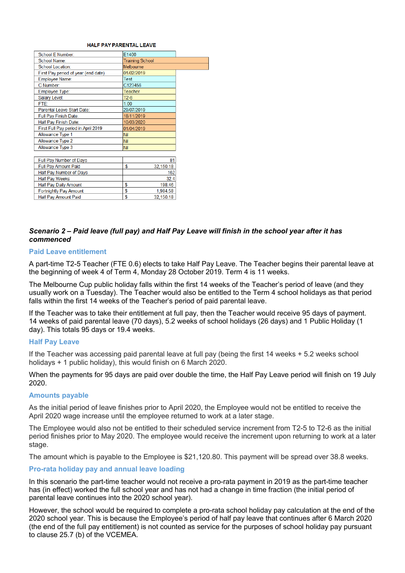#### HALE PAY PAPENTAL LEAVE

| School E Number:                    | E1400                  |
|-------------------------------------|------------------------|
| School Name:                        | <b>Training School</b> |
| <b>School Location:</b>             | Melbourne              |
| First Pay period of year (end date) | 01/02/2019             |
| Employee Name:                      | <b>Test</b>            |
| C Number:                           | C123456                |
| <b>Employee Type:</b>               | Teacher                |
| Salary Level:                       | $T2-6$                 |
| FTF:                                | 1.00                   |
| Parental Leave Start Date:          | 29/07/2019             |
| Full Pay Finish Date:               | 18/11/2019             |
| Half Pay Finish Date:               | 10/03/2020             |
| First Full Pay period in April 2019 | 01/04/2019             |
| Allowance Type 1                    | Nil                    |
| Allowance Type 2                    | Nil                    |
| Allowance Type 3                    | Nil                    |
|                                     |                        |
| Full Pay Number of Days             | 81                     |
| Full Pay Amount Paid                | \$<br>32,150.18        |
| Half Pay Number of Days             | 162                    |
| <b>Half Pay Weeks</b>               | 32.4                   |
| Half Pay Daily Amount               | S<br>198.46            |
| <b>Fortnightly Pay Amount</b>       | S<br>1.984.58          |
| Half Pay Amount Paid                | Ŝ<br>32.150.18         |

#### *Scenario 2 – Paid leave (full pay) and Half Pay Leave will finish in the school year after it has commenced*

#### **Paid Leave entitlement**

A part-time T2-5 Teacher (FTE 0.6) elects to take Half Pay Leave. The Teacher begins their parental leave at the beginning of week 4 of Term 4, Monday 28 October 2019. Term 4 is 11 weeks.

The Melbourne Cup public holiday falls within the first 14 weeks of the Teacher's period of leave (and they usually work on a Tuesday). The Teacher would also be entitled to the Term 4 school holidays as that period falls within the first 14 weeks of the Teacher's period of paid parental leave.

If the Teacher was to take their entitlement at full pay, then the Teacher would receive 95 days of payment. 14 weeks of paid parental leave (70 days), 5.2 weeks of school holidays (26 days) and 1 Public Holiday (1 day). This totals 95 days or 19.4 weeks.

#### **Half Pay Leave**

If the Teacher was accessing paid parental leave at full pay (being the first 14 weeks + 5.2 weeks school holidays + 1 public holiday), this would finish on 6 March 2020.

When the payments for 95 days are paid over double the time, the Half Pay Leave period will finish on 19 July 2020.

#### **Amounts payable**

As the initial period of leave finishes prior to April 2020, the Employee would not be entitled to receive the April 2020 wage increase until the employee returned to work at a later stage.

The Employee would also not be entitled to their scheduled service increment from T2-5 to T2-6 as the initial period finishes prior to May 2020. The employee would receive the increment upon returning to work at a later stage.

The amount which is payable to the Employee is \$21,120.80. This payment will be spread over 38.8 weeks.

#### **Pro-rata holiday pay and annual leave loading**

In this scenario the part-time teacher would not receive a pro-rata payment in 2019 as the part-time teacher has (in effect) worked the full school year and has not had a change in time fraction (the initial period of parental leave continues into the 2020 school year).

However, the school would be required to complete a pro-rata school holiday pay calculation at the end of the 2020 school year. This is because the Employee's period of half pay leave that continues after 6 March 2020 (the end of the full pay entitlement) is not counted as service for the purposes of school holiday pay pursuant to clause 25.7 (b) of the VCEMEA.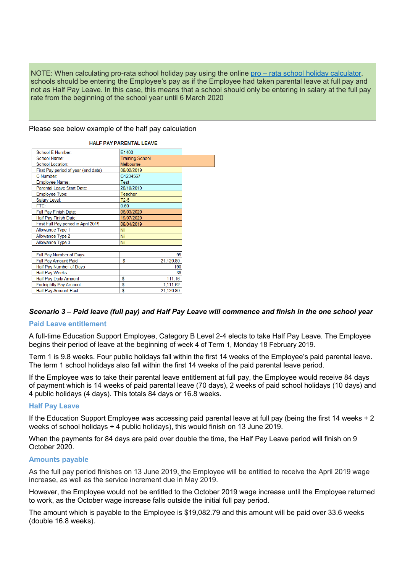NOTE: When calculating pro-rata school holiday pay using the online pro – [rata school holiday calculator,](http://cevn.cecv.catholic.edu.au/finance/holiday_leave.htm) schools should be entering the Employee's pay as if the Employee had taken parental leave at full pay and not as Half Pay Leave. In this case, this means that a school should only be entering in salary at the full pay rate from the beginning of the school year until 6 March 2020

Please see below example of the half pay calculation

| School E Number:                    | E1400                  |
|-------------------------------------|------------------------|
| School Name:                        | <b>Training School</b> |
| <b>School Location:</b>             | Melbourne              |
| First Pay period of year (end date) | 08/02/2019             |
| C Number:                           | C1234567               |
| Employee Name:                      | Test                   |
| Parental Leave Start Date:          | 28/10/2019             |
| Employee Type:                      | Teacher                |
| Salary Level:                       | $T2-5$                 |
| FTE:                                | 0.60                   |
| Full Pay Finish Date:               | 06/03/2020             |
| Half Pay Finish Date:               | 19/07/2020             |
| First Full Pay period in April 2019 | 08/04/2019             |
| Allowance Type 1                    | Nil                    |
| Allowance Type 2                    | Nil                    |
| Allowance Type 3                    | Nil                    |
|                                     |                        |
| Full Pay Number of Days             | 95                     |
| Full Pay Amount Paid                | Ś<br>21,120.80         |
| Half Pay Number of Days             | 190                    |
| <b>Half Pay Weeks</b>               | 38                     |
| <b>Half Pay Daily Amount</b>        | Ś<br>111.16            |
| <b>Fortnightly Pay Amount</b>       | S<br>1,111.62          |
| Half Pay Amount Paid                | S<br>21,120.80         |

#### **UALCOAV PADENTAL LEAVE**

#### *Scenario 3 – Paid leave (full pay) and Half Pay Leave will commence and finish in the one school year*

#### **Paid Leave entitlement**

A full-time Education Support Employee, Category B Level 2-4 elects to take Half Pay Leave. The Employee begins their period of leave at the beginning of week 4 of Term 1, Monday 18 February 2019.

Term 1 is 9.8 weeks. Four public holidays fall within the first 14 weeks of the Employee's paid parental leave. The term 1 school holidays also fall within the first 14 weeks of the paid parental leave period.

If the Employee was to take their parental leave entitlement at full pay, the Employee would receive 84 days of payment which is 14 weeks of paid parental leave (70 days), 2 weeks of paid school holidays (10 days) and 4 public holidays (4 days). This totals 84 days or 16.8 weeks.

#### **Half Pay Leave**

If the Education Support Employee was accessing paid parental leave at full pay (being the first 14 weeks + 2 weeks of school holidays + 4 public holidays), this would finish on 13 June 2019.

When the payments for 84 days are paid over double the time, the Half Pay Leave period will finish on 9 October 2020.

#### **Amounts payable**

As the full pay period finishes on 13 June 2019, the Employee will be entitled to receive the April 2019 wage increase, as well as the service increment due in May 2019.

However, the Employee would not be entitled to the October 2019 wage increase until the Employee returned to work, as the October wage increase falls outside the initial full pay period.

The amount which is payable to the Employee is \$19,082.79 and this amount will be paid over 33.6 weeks (double 16.8 weeks).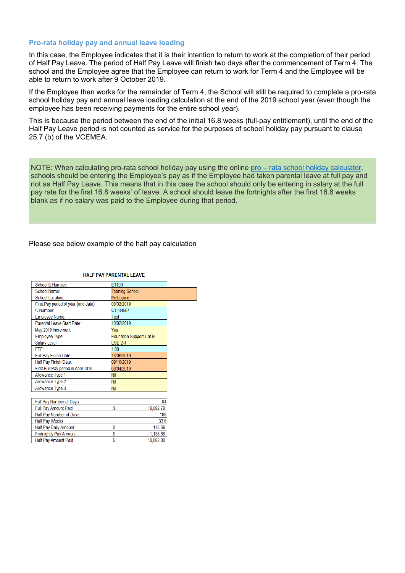#### **Pro-rata holiday pay and annual leave loading**

In this case, the Employee indicates that it is their intention to return to work at the completion of their period of Half Pay Leave. The period of Half Pay Leave will finish two days after the commencement of Term 4. The school and the Employee agree that the Employee can return to work for Term 4 and the Employee will be able to return to work after 9 October 2019.

If the Employee then works for the remainder of Term 4, the School will still be required to complete a pro-rata school holiday pay and annual leave loading calculation at the end of the 2019 school year (even though the employee has been receiving payments for the entire school year).

This is because the period between the end of the initial 16.8 weeks (full-pay entitlement), until the end of the Half Pay Leave period is not counted as service for the purposes of school holiday pay pursuant to clause 25.7 (b) of the VCEMEA.

NOTE: When calculating pro-rata school holiday pay using the online pro – [rata school holiday calculator,](http://cevn.cecv.catholic.edu.au/finance/holiday_leave.htm) schools should be entering the Employee's pay as if the Employee had taken parental leave at full pay and not as Half Pay Leave. This means that in this case the school should only be entering in salary at the full pay rate for the first 16.8 weeks' of leave. A school should leave the fortnights after the first 16.8 weeks blank as if no salary was paid to the Employee during that period.

Please see below example of the half pay calculation

| School E Number:                    | E1400                          |
|-------------------------------------|--------------------------------|
|                                     |                                |
| School Name:                        | <b>Training School</b>         |
| School Location:                    | Melbourne                      |
| First Pay period of year (end date) | 08/02/2019                     |
| C Number:                           | C1234567                       |
| Employee Name:                      | Test                           |
| Parental Leave Start Date:          | 18/02/2019                     |
| May 2019 Increment                  | Yes                            |
| Employee Type:                      | <b>Education Support Cat B</b> |
| Salary Level:                       | <b>FSB 2-4</b>                 |
| FTE:                                | 1.00                           |
| Full Pay Finish Date:               | 13/06/2019                     |
| Half Pay Finish Date:               | 09/10/2019                     |
| First Full Pay period in April 2019 | 08/04/2019                     |
| Allowance Type 1                    | Nil                            |
| Allowance Type 2                    | <b>Nil</b>                     |
| Allowance Type 3                    | <b>Nil</b>                     |
|                                     |                                |
| Full Pay Number of Days             | 84                             |
| <b>Full Pay Amount Paid</b>         | \$<br>19,082.79                |
| Half Pay Number of Days             | 168                            |
| <b>Half Pay Weeks</b>               | 33.6                           |
| <b>Half Pay Daily Amount</b>        | \$<br>113.59                   |
| <b>Fortnightly Pay Amount</b>       | Ŝ<br>1,135.88                  |
| <b>Half Pav Amount Paid</b>         | Ŝ<br>19.082.80                 |

#### **HALF PAY PARENTAL LEAVE**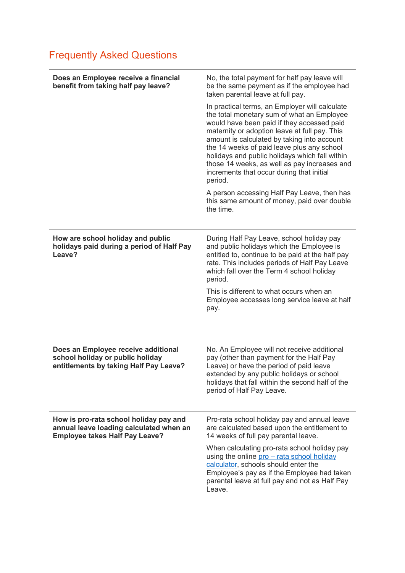## Frequently Asked Questions

| Does an Employee receive a financial<br>benefit from taking half pay leave?                                                | No, the total payment for half pay leave will<br>be the same payment as if the employee had<br>taken parental leave at full pay.<br>In practical terms, an Employer will calculate<br>the total monetary sum of what an Employee<br>would have been paid if they accessed paid<br>maternity or adoption leave at full pay. This<br>amount is calculated by taking into account<br>the 14 weeks of paid leave plus any school<br>holidays and public holidays which fall within<br>those 14 weeks, as well as pay increases and<br>increments that occur during that initial<br>period.<br>A person accessing Half Pay Leave, then has<br>this same amount of money, paid over double<br>the time. |
|----------------------------------------------------------------------------------------------------------------------------|---------------------------------------------------------------------------------------------------------------------------------------------------------------------------------------------------------------------------------------------------------------------------------------------------------------------------------------------------------------------------------------------------------------------------------------------------------------------------------------------------------------------------------------------------------------------------------------------------------------------------------------------------------------------------------------------------|
| How are school holiday and public<br>holidays paid during a period of Half Pay<br>Leave?                                   | During Half Pay Leave, school holiday pay<br>and public holidays which the Employee is<br>entitled to, continue to be paid at the half pay<br>rate. This includes periods of Half Pay Leave<br>which fall over the Term 4 school holiday<br>period.<br>This is different to what occurs when an<br>Employee accesses long service leave at half<br>pay.                                                                                                                                                                                                                                                                                                                                           |
| Does an Employee receive additional<br>school holiday or public holiday<br>entitlements by taking Half Pay Leave?          | No. An Employee will not receive additional<br>pay (other than payment for the Half Pay<br>Leave) or have the period of paid leave<br>extended by any public holidays or school<br>holidays that fall within the second half of the<br>period of Half Pay Leave.                                                                                                                                                                                                                                                                                                                                                                                                                                  |
| How is pro-rata school holiday pay and<br>annual leave loading calculated when an<br><b>Employee takes Half Pay Leave?</b> | Pro-rata school holiday pay and annual leave<br>are calculated based upon the entitlement to<br>14 weeks of full pay parental leave.<br>When calculating pro-rata school holiday pay<br>using the online pro - rata school holiday<br>calculator, schools should enter the<br>Employee's pay as if the Employee had taken<br>parental leave at full pay and not as Half Pay<br>Leave.                                                                                                                                                                                                                                                                                                             |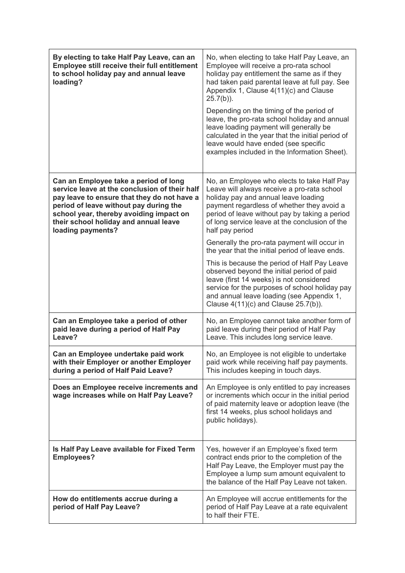| By electing to take Half Pay Leave, can an<br><b>Employee still receive their full entitlement</b><br>to school holiday pay and annual leave<br>loading?                                                                                                                                 | No, when electing to take Half Pay Leave, an<br>Employee will receive a pro-rata school<br>holiday pay entitlement the same as if they<br>had taken paid parental leave at full pay. See<br>Appendix 1, Clause 4(11)(c) and Clause<br>$25.7(b)$ ).<br>Depending on the timing of the period of<br>leave, the pro-rata school holiday and annual<br>leave loading payment will generally be<br>calculated in the year that the initial period of<br>leave would have ended (see specific<br>examples included in the Information Sheet). |
|------------------------------------------------------------------------------------------------------------------------------------------------------------------------------------------------------------------------------------------------------------------------------------------|-----------------------------------------------------------------------------------------------------------------------------------------------------------------------------------------------------------------------------------------------------------------------------------------------------------------------------------------------------------------------------------------------------------------------------------------------------------------------------------------------------------------------------------------|
| Can an Employee take a period of long<br>service leave at the conclusion of their half<br>pay leave to ensure that they do not have a<br>period of leave without pay during the<br>school year, thereby avoiding impact on<br>their school holiday and annual leave<br>loading payments? | No, an Employee who elects to take Half Pay<br>Leave will always receive a pro-rata school<br>holiday pay and annual leave loading<br>payment regardless of whether they avoid a<br>period of leave without pay by taking a period<br>of long service leave at the conclusion of the<br>half pay period                                                                                                                                                                                                                                 |
|                                                                                                                                                                                                                                                                                          | Generally the pro-rata payment will occur in<br>the year that the initial period of leave ends.                                                                                                                                                                                                                                                                                                                                                                                                                                         |
|                                                                                                                                                                                                                                                                                          | This is because the period of Half Pay Leave<br>observed beyond the initial period of paid<br>leave (first 14 weeks) is not considered<br>service for the purposes of school holiday pay<br>and annual leave loading (see Appendix 1,<br>Clause $4(11)(c)$ and Clause 25.7(b)).                                                                                                                                                                                                                                                         |
| Can an Employee take a period of other<br>paid leave during a period of Half Pay<br>Leave?                                                                                                                                                                                               | No, an Employee cannot take another form of<br>paid leave during their period of Half Pay<br>Leave. This includes long service leave.                                                                                                                                                                                                                                                                                                                                                                                                   |
| Can an Employee undertake paid work<br>with their Employer or another Employer<br>during a period of Half Paid Leave?                                                                                                                                                                    | No, an Employee is not eligible to undertake<br>paid work while receiving half pay payments.<br>This includes keeping in touch days.                                                                                                                                                                                                                                                                                                                                                                                                    |
| Does an Employee receive increments and<br>wage increases while on Half Pay Leave?                                                                                                                                                                                                       | An Employee is only entitled to pay increases<br>or increments which occur in the initial period<br>of paid maternity leave or adoption leave (the<br>first 14 weeks, plus school holidays and<br>public holidays).                                                                                                                                                                                                                                                                                                                     |
| Is Half Pay Leave available for Fixed Term<br><b>Employees?</b>                                                                                                                                                                                                                          | Yes, however if an Employee's fixed term<br>contract ends prior to the completion of the<br>Half Pay Leave, the Employer must pay the<br>Employee a lump sum amount equivalent to<br>the balance of the Half Pay Leave not taken.                                                                                                                                                                                                                                                                                                       |
| How do entitlements accrue during a<br>period of Half Pay Leave?                                                                                                                                                                                                                         | An Employee will accrue entitlements for the<br>period of Half Pay Leave at a rate equivalent<br>to half their FTE.                                                                                                                                                                                                                                                                                                                                                                                                                     |